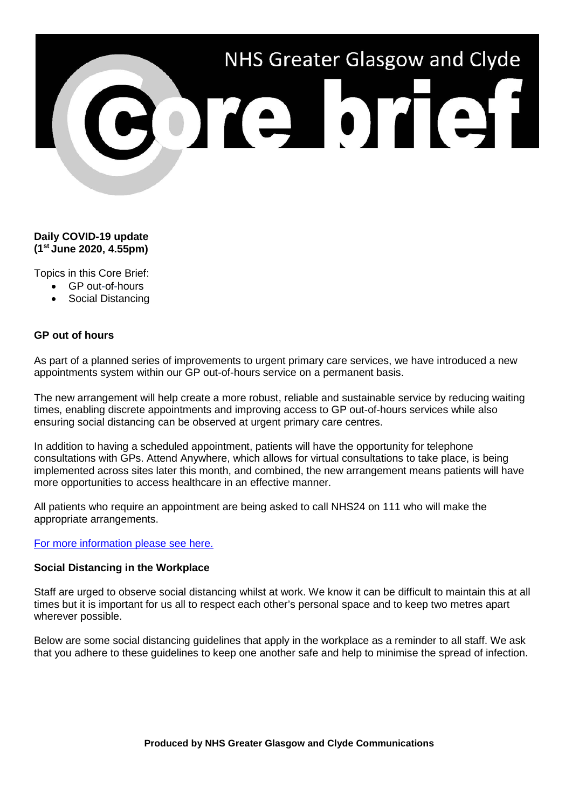

## **Daily COVID-19 update (1st June 2020, 4.55pm)**

Topics in this Core Brief:

- GP out-of-hours
- Social Distancing

## **GP out of hours**

As part of a planned series of improvements to urgent primary care services, we have introduced a new appointments system within our GP out-of-hours service on a permanent basis.

The new arrangement will help create a more robust, reliable and sustainable service by reducing waiting times, enabling discrete appointments and improving access to GP out-of-hours services while also ensuring social distancing can be observed at urgent primary care centres.

In addition to having a scheduled appointment, patients will have the opportunity for telephone consultations with GPs. Attend Anywhere, which allows for virtual consultations to take place, is being implemented across sites later this month, and combined, the new arrangement means patients will have more opportunities to access healthcare in an effective manner.

All patients who require an appointment are being asked to call NHS24 on 111 who will make the appropriate arrangements.

## [For more information please see here.](https://www.nhsggc.org.uk/about-us/media-centre/news/2020/06/gp-out-of-hours-service-moves-to-appointment-only-as-part-of-urgent-primary-care-enhancements/)

## **Social Distancing in the Workplace**

Staff are urged to observe social distancing whilst at work. We know it can be difficult to maintain this at all times but it is important for us all to respect each other's personal space and to keep two metres apart wherever possible.

Below are some social distancing guidelines that apply in the workplace as a reminder to all staff. We ask that you adhere to these guidelines to keep one another safe and help to minimise the spread of infection.